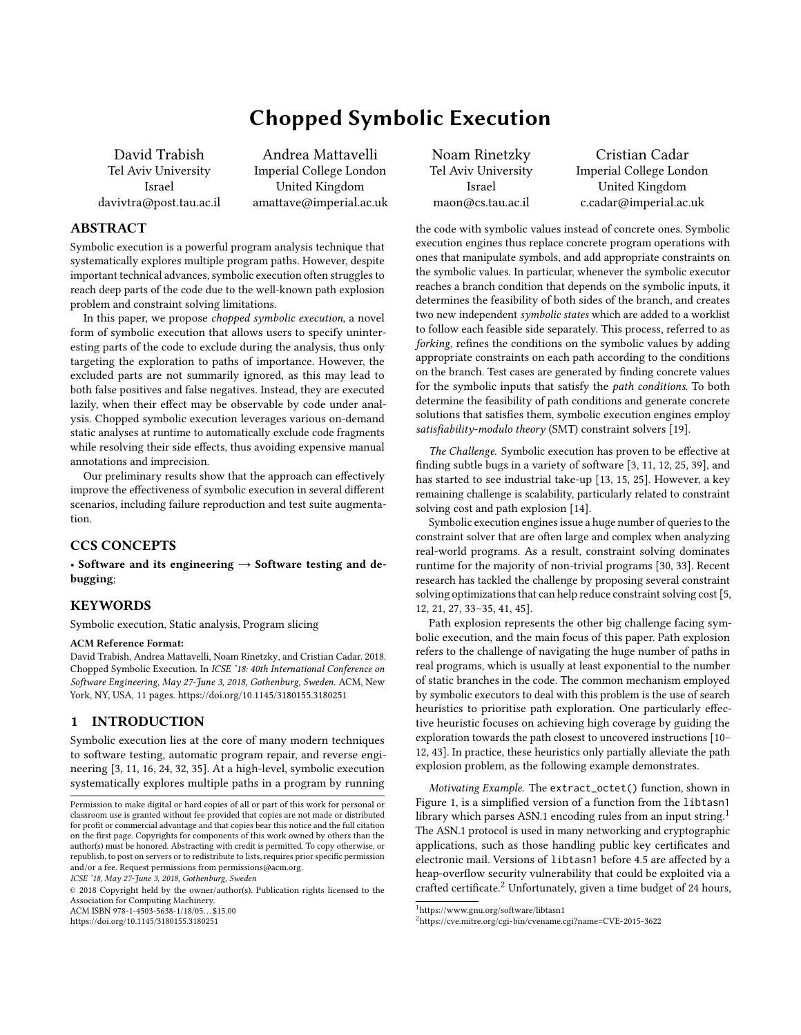# Chopped Symbolic Execution

David Trabish Tel Aviv University Israel davivtra@post.tau.ac.il

Andrea Mattavelli Imperial College London United Kingdom amattave@imperial.ac.uk

# ABSTRACT

Symbolic execution is a powerful program analysis technique that systematically explores multiple program paths. However, despite important technical advances, symbolic execution often struggles to reach deep parts of the code due to the well-known path explosion problem and constraint solving limitations.

In this paper, we propose chopped symbolic execution, a novel form of symbolic execution that allows users to specify uninteresting parts of the code to exclude during the analysis, thus only targeting the exploration to paths of importance. However, the excluded parts are not summarily ignored, as this may lead to both false positives and false negatives. Instead, they are executed lazily, when their effect may be observable by code under analysis. Chopped symbolic execution leverages various on-demand static analyses at runtime to automatically exclude code fragments while resolving their side effects, thus avoiding expensive manual annotations and imprecision.

Our preliminary results show that the approach can effectively improve the effectiveness of symbolic execution in several different scenarios, including failure reproduction and test suite augmentation.

# CCS CONCEPTS

• Software and its engineering  $\rightarrow$  Software testing and debugging;

# **KEYWORDS**

Symbolic execution, Static analysis, Program slicing

#### ACM Reference Format:

David Trabish, Andrea Mattavelli, Noam Rinetzky, and Cristian Cadar. 2018. Chopped Symbolic Execution. In ICSE '18: 40th International Conference on Software Engineering, May 27-June 3, 2018, Gothenburg, Sweden. ACM, New York, NY, USA, [11](#page-10-0) pages.<https://doi.org/10.1145/3180155.3180251>

# 1 INTRODUCTION

Symbolic execution lies at the core of many modern techniques to software testing, automatic program repair, and reverse engineering [\[3,](#page-10-1) [11,](#page-10-2) [16,](#page-10-3) [24,](#page-10-4) [32,](#page-10-5) [35\]](#page-10-6). At a high-level, symbolic execution systematically explores multiple paths in a program by running

ICSE '18, May 27-June 3, 2018, Gothenburg, Sweden

© 2018 Copyright held by the owner/author(s). Publication rights licensed to the Association for Computing Machinery. ACM ISBN 978-1-4503-5638-1/18/05...\$15.00

<https://doi.org/10.1145/3180155.3180251>

Noam Rinetzky Tel Aviv University Israel maon@cs.tau.ac.il

Cristian Cadar Imperial College London United Kingdom c.cadar@imperial.ac.uk

the code with symbolic values instead of concrete ones. Symbolic execution engines thus replace concrete program operations with ones that manipulate symbols, and add appropriate constraints on the symbolic values. In particular, whenever the symbolic executor reaches a branch condition that depends on the symbolic inputs, it determines the feasibility of both sides of the branch, and creates two new independent symbolic states which are added to a worklist to follow each feasible side separately. This process, referred to as forking, refines the conditions on the symbolic values by adding appropriate constraints on each path according to the conditions on the branch. Test cases are generated by finding concrete values for the symbolic inputs that satisfy the path conditions. To both determine the feasibility of path conditions and generate concrete solutions that satisfies them, symbolic execution engines employ satisfiability-modulo theory (SMT) constraint solvers [\[19\]](#page-10-7).

The Challenge. Symbolic execution has proven to be effective at finding subtle bugs in a variety of software [\[3,](#page-10-1) [11,](#page-10-2) [12,](#page-10-8) [25,](#page-10-9) [39\]](#page-10-10), and has started to see industrial take-up [\[13,](#page-10-11) [15,](#page-10-12) [25\]](#page-10-9). However, a key remaining challenge is scalability, particularly related to constraint solving cost and path explosion [\[14\]](#page-10-13).

Symbolic execution engines issue a huge number of queries to the constraint solver that are often large and complex when analyzing real-world programs. As a result, constraint solving dominates runtime for the majority of non-trivial programs [\[30,](#page-10-14) [33\]](#page-10-15). Recent research has tackled the challenge by proposing several constraint solving optimizations that can help reduce constraint solving cost [\[5,](#page-10-16) [12,](#page-10-8) [21,](#page-10-17) [27,](#page-10-18) [33–](#page-10-15)[35,](#page-10-6) [41,](#page-10-19) [45\]](#page-10-20).

Path explosion represents the other big challenge facing symbolic execution, and the main focus of this paper. Path explosion refers to the challenge of navigating the huge number of paths in real programs, which is usually at least exponential to the number of static branches in the code. The common mechanism employed by symbolic executors to deal with this problem is the use of search heuristics to prioritise path exploration. One particularly effective heuristic focuses on achieving high coverage by guiding the exploration towards the path closest to uncovered instructions [\[10–](#page-10-21) [12,](#page-10-8) [43\]](#page-10-22). In practice, these heuristics only partially alleviate the path explosion problem, as the following example demonstrates.

Motivating Example. The extract\_octet() function, shown in Figure [1,](#page-1-0) is a simplified version of a function from the libtasn1 library which parses ASN.[1](#page-0-0) encoding rules from an input string.<sup>1</sup> The ASN.1 protocol is used in many networking and cryptographic applications, such as those handling public key certificates and electronic mail. Versions of libtasn1 before 4.5 are affected by a heap-overflow security vulnerability that could be exploited via a crafted certificate.<sup>[2](#page-0-1)</sup> Unfortunately, given a time budget of 24 hours,

Permission to make digital or hard copies of all or part of this work for personal or classroom use is granted without fee provided that copies are not made or distributed for profit or commercial advantage and that copies bear this notice and the full citation on the first page. Copyrights for components of this work owned by others than the author(s) must be honored. Abstracting with credit is permitted. To copy otherwise, or republish, to post on servers or to redistribute to lists, requires prior specific permission and/or a fee. Request permissions from permissions@acm.org.

<span id="page-0-0"></span> $^{\rm 1}$ <https://www.gnu.org/software/libtasn1>

<span id="page-0-1"></span><sup>2</sup><https://cve.mitre.org/cgi-bin/cvename.cgi?name=CVE-2015-3622>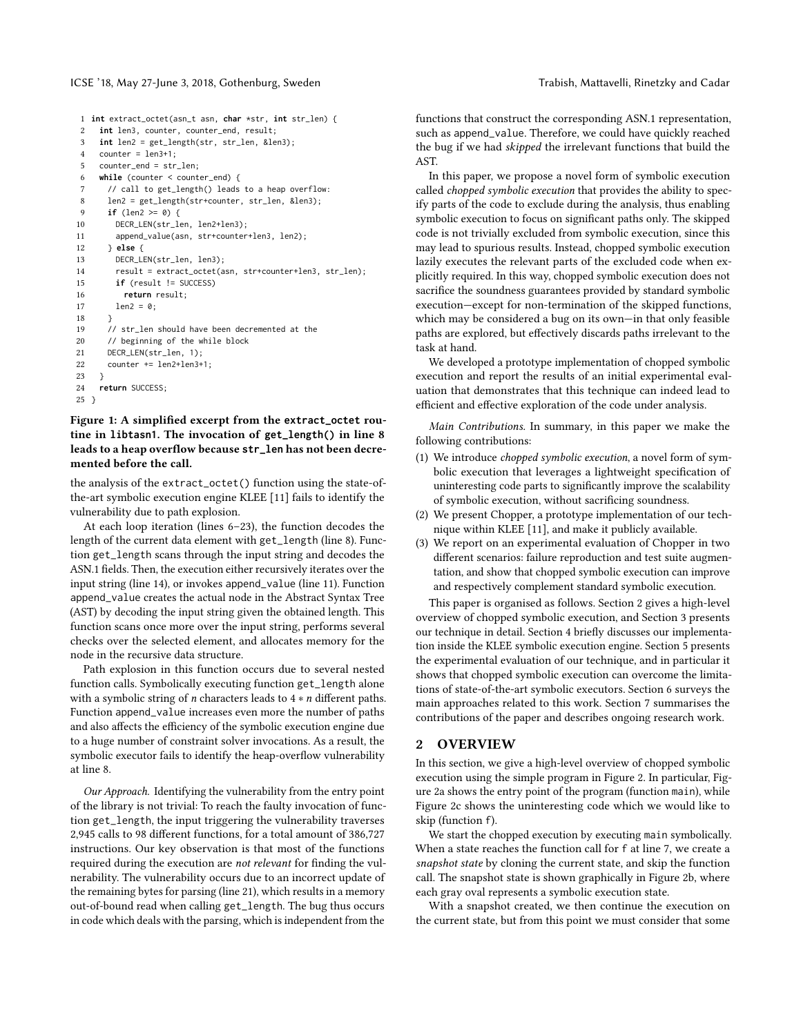#### ICSE '18, May 27-June 3, 2018, Gothenburg, Sweden The State of Trabish, Mattavelli, Rinetzky and Cadar

```
1 int extract_octet(asn_t asn, char *str, int str_len) {
2 int len3, counter, counter_end, result;
3 int len2 = get_length(str, str_len, &len3);
4 counter = len3+1;
5 counter_end = str_len;
6 while (counter < counter_end) {
7 // call to get_length() leads to a heap overflow:
8 len2 = get_length(str+counter, str_len, &len3);
9 if (len2 >= 0) {
10 DECR_LEN(str_len, len2+len3);
11 append_value(asn, str+counter+len3, len2);
12 } else {
13 DECR_LEN(str_len, len3);
14 result = extract_octet(asn, str+counter+len3, str_len);
15 if (result != SUCCESS)
16 return result;
17 len2 = 0:
18 }
19 // str_len should have been decremented at the
20 // beginning of the while block
21 DECR LEN(str len, 1):
22 counter += len2+len3+1;
23 }
24 return SUCCESS;
```
<span id="page-1-6"></span><span id="page-1-4"></span><span id="page-1-3"></span>25 }

# Figure 1: A simplified excerpt from the **extract\_octet** routine in **libtasn1**. The invocation of **get\_length()** in line [8](#page-1-1) leads to a heap overflow because **str\_len** has not been decremented before the call.

the analysis of the extract\_octet() function using the state-ofthe-art symbolic execution engine KLEE [\[11\]](#page-10-2) fails to identify the vulnerability due to path explosion.

At each loop iteration (lines [6–](#page-1-2)[23\)](#page-1-3), the function decodes the length of the current data element with get\_length (line [8\)](#page-1-1). Function get\_length scans through the input string and decodes the ASN.1 fields. Then, the execution either recursively iterates over the input string (line [14\)](#page-1-4), or invokes append\_value (line [11\)](#page-1-5). Function append\_value creates the actual node in the Abstract Syntax Tree (AST) by decoding the input string given the obtained length. This function scans once more over the input string, performs several checks over the selected element, and allocates memory for the node in the recursive data structure.

Path explosion in this function occurs due to several nested function calls. Symbolically executing function get\_length alone with a symbolic string of  $n$  characters leads to  $4 * n$  different paths. Function append\_value increases even more the number of paths and also affects the efficiency of the symbolic execution engine due to a huge number of constraint solver invocations. As a result, the symbolic executor fails to identify the heap-overflow vulnerability at line [8.](#page-1-1)

Our Approach. Identifying the vulnerability from the entry point of the library is not trivial: To reach the faulty invocation of function get\_length, the input triggering the vulnerability traverses 2,945 calls to 98 different functions, for a total amount of 386,727 instructions. Our key observation is that most of the functions required during the execution are not relevant for finding the vulnerability. The vulnerability occurs due to an incorrect update of the remaining bytes for parsing (line [21\)](#page-1-6), which results in a memory out-of-bound read when calling get\_length. The bug thus occurs in code which deals with the parsing, which is independent from the

functions that construct the corresponding ASN.1 representation, such as append\_value. Therefore, we could have quickly reached the bug if we had skipped the irrelevant functions that build the AST.

In this paper, we propose a novel form of symbolic execution called chopped symbolic execution that provides the ability to specify parts of the code to exclude during the analysis, thus enabling symbolic execution to focus on significant paths only. The skipped code is not trivially excluded from symbolic execution, since this may lead to spurious results. Instead, chopped symbolic execution lazily executes the relevant parts of the excluded code when explicitly required. In this way, chopped symbolic execution does not sacrifice the soundness guarantees provided by standard symbolic execution—except for non-termination of the skipped functions, which may be considered a bug on its own—in that only feasible paths are explored, but effectively discards paths irrelevant to the task at hand.

We developed a prototype implementation of chopped symbolic execution and report the results of an initial experimental evaluation that demonstrates that this technique can indeed lead to efficient and effective exploration of the code under analysis.

Main Contributions. In summary, in this paper we make the following contributions:

- (1) We introduce chopped symbolic execution, a novel form of symbolic execution that leverages a lightweight specification of uninteresting code parts to significantly improve the scalability of symbolic execution, without sacrificing soundness.
- (2) We present Chopper, a prototype implementation of our technique within KLEE [\[11\]](#page-10-2), and make it publicly available.
- (3) We report on an experimental evaluation of Chopper in two different scenarios: failure reproduction and test suite augmentation, and show that chopped symbolic execution can improve and respectively complement standard symbolic execution.

This paper is organised as follows. Section [2](#page-1-7) gives a high-level overview of chopped symbolic execution, and Section [3](#page-3-0) presents our technique in detail. Section [4](#page-6-0) briefly discusses our implementation inside the KLEE symbolic execution engine. Section [5](#page-6-1) presents the experimental evaluation of our technique, and in particular it shows that chopped symbolic execution can overcome the limitations of state-of-the-art symbolic executors. Section [6](#page-9-0) surveys the main approaches related to this work. Section [7](#page-9-1) summarises the contributions of the paper and describes ongoing research work.

# <span id="page-1-7"></span>2 OVERVIEW

In this section, we give a high-level overview of chopped symbolic execution using the simple program in Figure [2.](#page-2-0) In particular, Figure [2a](#page-2-1) shows the entry point of the program (function main), while Figure [2c](#page-2-2) shows the uninteresting code which we would like to skip (function f).

We start the chopped execution by executing main symbolically. When a state reaches the function call for f at line [7,](#page-2-3) we create a snapshot state by cloning the current state, and skip the function call. The snapshot state is shown graphically in Figure [2b,](#page-2-4) where each gray oval represents a symbolic execution state.

With a snapshot created, we then continue the execution on the current state, but from this point we must consider that some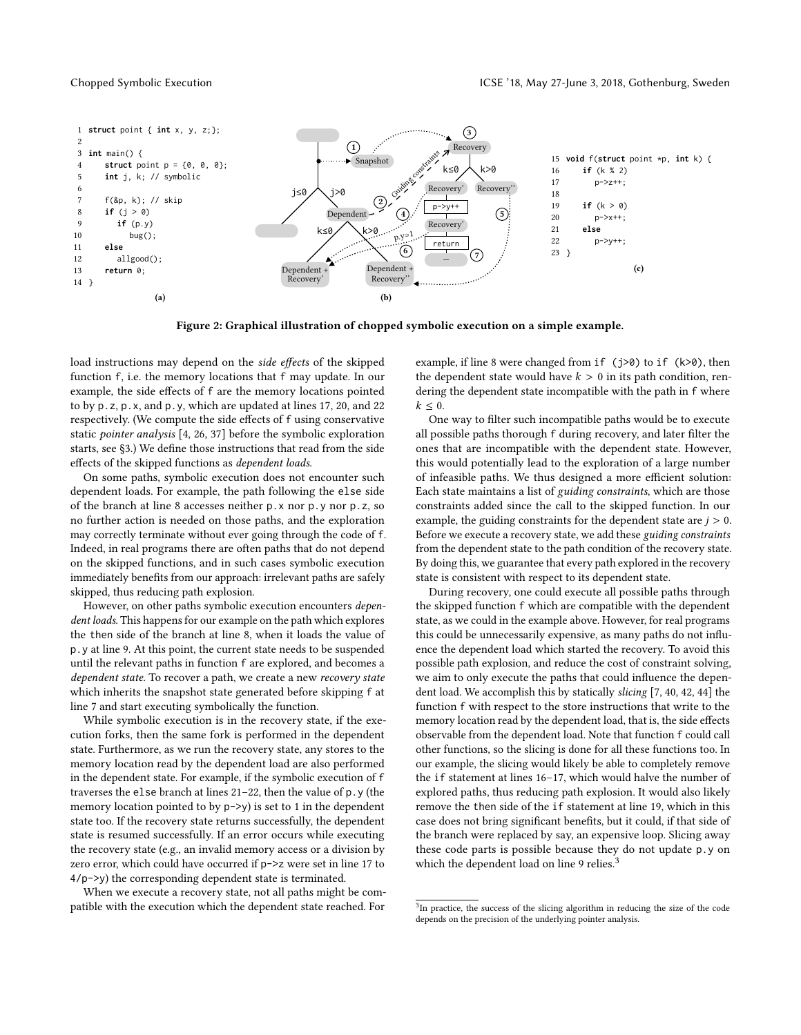<span id="page-2-14"></span><span id="page-2-9"></span><span id="page-2-8"></span><span id="page-2-3"></span><span id="page-2-0"></span>

<span id="page-2-4"></span>Figure 2: Graphical illustration of chopped symbolic execution on a simple example.

<span id="page-2-15"></span><span id="page-2-1"></span>load instructions may depend on the side effects of the skipped function f, i.e. the memory locations that f may update. In our example, the side effects of f are the memory locations pointed to by p.z, p.x, and p.y, which are updated at lines [17,](#page-2-5) [20,](#page-2-6) and [22](#page-2-7) respectively. (We compute the side effects of f using conservative static pointer analysis [\[4,](#page-10-23) [26,](#page-10-24) [37\]](#page-10-25) before the symbolic exploration starts, see [§3.](#page-3-0)) We define those instructions that read from the side effects of the skipped functions as dependent loads.

On some paths, symbolic execution does not encounter such dependent loads. For example, the path following the else side of the branch at line [8](#page-2-8) accesses neither p.x nor p.y nor p.z, so no further action is needed on those paths, and the exploration may correctly terminate without ever going through the code of f. Indeed, in real programs there are often paths that do not depend on the skipped functions, and in such cases symbolic execution immediately benefits from our approach: irrelevant paths are safely skipped, thus reducing path explosion.

However, on other paths symbolic execution encounters dependent loads. This happens for our example on the path which explores the then side of the branch at line [8,](#page-2-8) when it loads the value of p.y at line [9.](#page-2-9) At this point, the current state needs to be suspended until the relevant paths in function f are explored, and becomes a dependent state. To recover a path, we create a new recovery state which inherits the snapshot state generated before skipping f at line [7](#page-2-3) and start executing symbolically the function.

While symbolic execution is in the recovery state, if the execution forks, then the same fork is performed in the dependent state. Furthermore, as we run the recovery state, any stores to the memory location read by the dependent load are also performed in the dependent state. For example, if the symbolic execution of f traverses the else branch at lines [21–](#page-2-10)[22,](#page-2-7) then the value of p.y (the memory location pointed to by  $p \rightarrow y$  is set to 1 in the dependent state too. If the recovery state returns successfully, the dependent state is resumed successfully. If an error occurs while executing the recovery state (e.g., an invalid memory access or a division by zero error, which could have occurred if p->z were set in line [17](#page-2-5) to 4/p->y) the corresponding dependent state is terminated.

When we execute a recovery state, not all paths might be compatible with the execution which the dependent state reached. For

<span id="page-2-12"></span><span id="page-2-11"></span><span id="page-2-10"></span><span id="page-2-7"></span><span id="page-2-6"></span><span id="page-2-5"></span><span id="page-2-2"></span>example, if line [8](#page-2-8) were changed from if (j>0) to if (k>0), then the dependent state would have  $k > 0$  in its path condition, rendering the dependent state incompatible with the path in f where  $k \leq 0$ .

One way to filter such incompatible paths would be to execute all possible paths thorough f during recovery, and later filter the ones that are incompatible with the dependent state. However, this would potentially lead to the exploration of a large number of infeasible paths. We thus designed a more efficient solution: Each state maintains a list of guiding constraints, which are those constraints added since the call to the skipped function. In our example, the guiding constraints for the dependent state are  $j > 0$ . Before we execute a recovery state, we add these guiding constraints from the dependent state to the path condition of the recovery state. By doing this, we guarantee that every path explored in the recovery state is consistent with respect to its dependent state.

During recovery, one could execute all possible paths through the skipped function f which are compatible with the dependent state, as we could in the example above. However, for real programs this could be unnecessarily expensive, as many paths do not influence the dependent load which started the recovery. To avoid this possible path explosion, and reduce the cost of constraint solving, we aim to only execute the paths that could influence the dependent load. We accomplish this by statically slicing [\[7,](#page-10-26) [40,](#page-10-27) [42,](#page-10-28) [44\]](#page-10-29) the function f with respect to the store instructions that write to the memory location read by the dependent load, that is, the side effects observable from the dependent load. Note that function f could call other functions, so the slicing is done for all these functions too. In our example, the slicing would likely be able to completely remove the if statement at lines [16–](#page-2-11)[17,](#page-2-5) which would halve the number of explored paths, thus reducing path explosion. It would also likely remove the then side of the if statement at line [19,](#page-2-12) which in this case does not bring significant benefits, but it could, if that side of the branch were replaced by say, an expensive loop. Slicing away these code parts is possible because they do not update p.y on which the dependent load on line [9](#page-2-9) relies.<sup>[3](#page-2-13)</sup>

<span id="page-2-13"></span> $3$ In practice, the success of the slicing algorithm in reducing the size of the code depends on the precision of the underlying pointer analysis.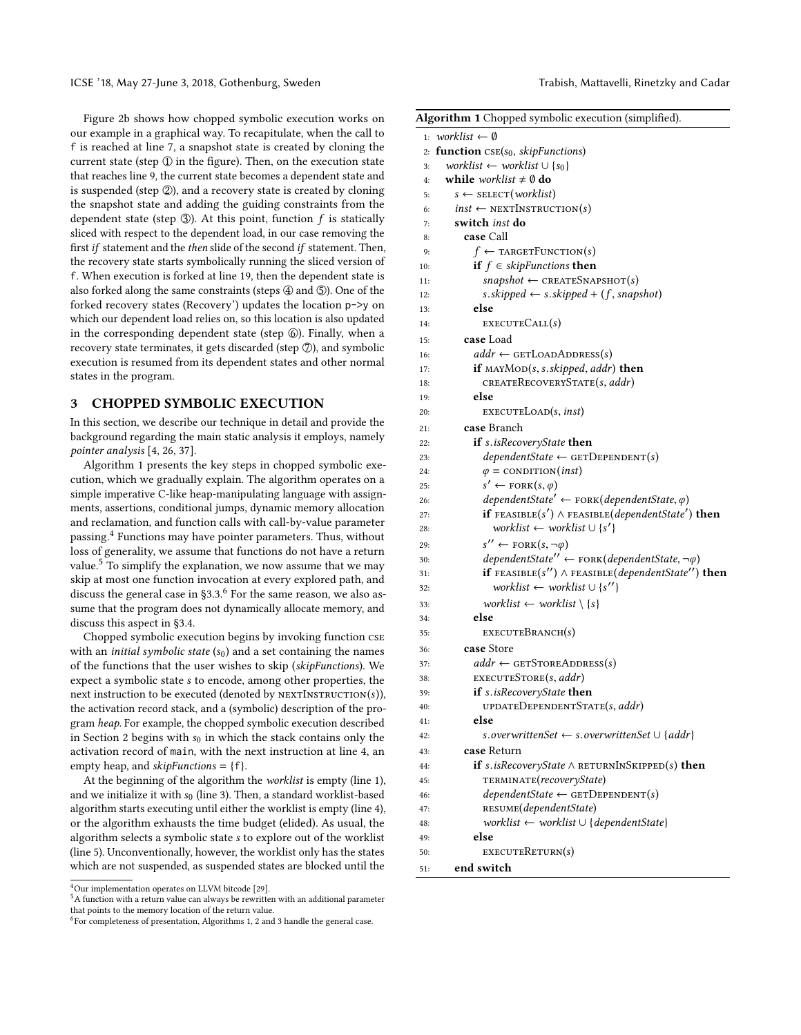ICSE '18, May 27-June 3, 2018, Gothenburg, Sweden The State of Trabish, Mattavelli, Rinetzky and Cadar

Figure [2b](#page-2-4) shows how chopped symbolic execution works on our example in a graphical way. To recapitulate, when the call to f is reached at line [7,](#page-2-3) a snapshot state is created by cloning the current state (step  $\mathbb{Q}$  in the figure). Then, on the execution state that reaches line [9,](#page-2-9) the current state becomes a dependent state and is suspended (step  $\oslash$ ), and a recovery state is created by cloning the snapshot state and adding the guiding constraints from the dependent state (step  $\circled{3}$ ). At this point, function f is statically sliced with respect to the dependent load, in our case removing the first if statement and the then slide of the second if statement. Then, the recovery state starts symbolically running the sliced version of f. When execution is forked at line [19,](#page-2-12) then the dependent state is also forked along the same constraints (steps  $\circled{4}$  and  $\circled{5}$ ). One of the forked recovery states (Recovery') updates the location p->y on which our dependent load relies on, so this location is also updated in the corresponding dependent state (step  $\circledS$ ). Finally, when a recovery state terminates, it gets discarded (step  $\mathcal{D}$ ), and symbolic execution is resumed from its dependent states and other normal states in the program.

# <span id="page-3-0"></span>3 CHOPPED SYMBOLIC EXECUTION

In this section, we describe our technique in detail and provide the background regarding the main static analysis it employs, namely pointer analysis [\[4,](#page-10-23) [26,](#page-10-24) [37\]](#page-10-25).

<span id="page-3-27"></span><span id="page-3-26"></span><span id="page-3-25"></span><span id="page-3-24"></span><span id="page-3-23"></span>Algorithm [1](#page-3-1) presents the key steps in chopped symbolic execution, which we gradually explain. The algorithm operates on a simple imperative C-like heap-manipulating language with assignments, assertions, conditional jumps, dynamic memory allocation and reclamation, and function calls with call-by-value parameter passing.[4](#page-3-2) Functions may have pointer parameters. Thus, without loss of generality, we assume that functions do not have a return value.<sup>[5](#page-3-3)</sup> To simplify the explanation, we now assume that we may skip at most one function invocation at every explored path, and discuss the general case in  $\S 3.3$ .<sup>[6](#page-3-4)</sup> For the same reason, we also assume that the program does not dynamically allocate memory, and discuss this aspect in [§3.4.](#page-5-1)

<span id="page-3-34"></span><span id="page-3-33"></span><span id="page-3-32"></span><span id="page-3-30"></span><span id="page-3-29"></span><span id="page-3-28"></span><span id="page-3-20"></span>Chopped symbolic execution begins by invoking function cse with an *initial symbolic state*  $(s_0)$  and a set containing the names of the functions that the user wishes to skip (skipFunctions). We expect a symbolic state s to encode, among other properties, the next instruction to be executed (denoted by  $NEXTINSTRUCTION(s)$ ), the activation record stack, and a (symbolic) description of the program heap. For example, the chopped symbolic execution described in Section [2](#page-1-7) begins with  $s_0$  in which the stack contains only the activation record of main, with the next instruction at line [4,](#page-2-14) an empty heap, and  $skipFunctions = \{f\}.$ 

<span id="page-3-40"></span><span id="page-3-39"></span><span id="page-3-38"></span><span id="page-3-37"></span><span id="page-3-35"></span><span id="page-3-31"></span>At the beginning of the algorithm the worklist is empty (line [1\)](#page-3-5), and we initialize it with  $s_0$  (line [3\)](#page-3-6). Then, a standard worklist-based algorithm starts executing until either the worklist is empty (line [4\)](#page-3-7), or the algorithm exhausts the time budget (elided). As usual, the algorithm selects a symbolic state s to explore out of the worklist (line [5\)](#page-3-8). Unconventionally, however, the worklist only has the states which are not suspended, as suspended states are blocked until the

```
4Our implementation operates on LLVM bitcode [29].
```

```
5A function with a return value can always be rewritten with an additional parameter
that points to the memory location of the return value.
```
<span id="page-3-22"></span><span id="page-3-21"></span><span id="page-3-19"></span><span id="page-3-18"></span><span id="page-3-17"></span><span id="page-3-16"></span><span id="page-3-15"></span><span id="page-3-14"></span><span id="page-3-13"></span><span id="page-3-12"></span><span id="page-3-11"></span><span id="page-3-10"></span><span id="page-3-9"></span><span id="page-3-8"></span><span id="page-3-7"></span><span id="page-3-6"></span><span id="page-3-5"></span><span id="page-3-1"></span>

|     | Algorithm 1 Chopped symbolic execution (simplified).               |
|-----|--------------------------------------------------------------------|
|     | 1: worklist $\leftarrow \emptyset$                                 |
| 2:  | <b>function</b> $CSE(s_0, skipFunctions)$                          |
| 3:  | worklist $\leftarrow$ worklist $\cup$ {s <sub>0</sub> }            |
| 4:  | while worklist $\neq \emptyset$ do                                 |
| 5:  | $s \leftarrow$ SELECT( <i>worklist</i> )                           |
| 6:  | $inst \leftarrow$ NEXTINSTRUCTION(s)                               |
| 7:  | switch inst do                                                     |
| 8:  | case Call                                                          |
| 9:  | $f \leftarrow \text{TARGEFUNCTION}(s)$                             |
| 10: | <b>if</b> $f \in$ <i>skipFunctions</i> <b>then</b>                 |
| 11: | $snapshot \leftarrow$ CREATESNAPSHOT(s)                            |
| 12: | s.skipped $\leftarrow$ s.skipped + (f, snapshot)                   |
| 13: | else                                                               |
| 14: | EXECUTECALL(s)                                                     |
| 15: | case Load                                                          |
| 16: | $addr \leftarrow \text{GETLoopADDRESS}(s)$                         |
| 17: | <b>if</b> $MAND(s, s.skipped,addr)$ then                           |
| 18: | CREATERECOVERYSTATE(s, addr)                                       |
| 19: | else                                                               |
| 20: | EXECUTELOAD(s, inst)                                               |
| 21: | case Branch                                                        |
| 22: | <b>if</b> s.isRecoveryState then                                   |
| 23: | $dependentState \leftarrow \texttt{GETDepenIDENT}(s)$              |
| 24: | $\varphi = \text{convATION}(inst)$                                 |
| 25: | $s' \leftarrow \text{FORK}(s, \varphi)$                            |
| 26: | $dependentState' \leftarrow FORK(dependentState, \varphi)$         |
| 27: | <b>if</b> $FEASIBLE(s') \wedge FEASIBLE(dependentState')$ then     |
| 28: | worklist $\leftarrow$ worklist $\cup$ {s'}                         |
| 29: | $s'' \leftarrow \text{FORK}(s, \neg \varphi)$                      |
| 30: | dependentState" $\leftarrow$ FORK(dependentState, $\neg \varphi$ ) |
| 31: | if $FESIBLE(s'') \wedge FESIBLE(dependentState'')$ then            |
| 32: | worklist $\leftarrow$ worklist $\cup$ {s''}                        |
| 33: | worklist $\leftarrow$ worklist $\setminus \{s\}$                   |
| 34: | else                                                               |
| 35: | EXECUTEBRANCH(s)                                                   |
| 36: | case Store                                                         |
| 37: | $addr \leftarrow$ GETSTOREADDRESS(s)                               |
| 38: | EXECUTESTORE(s, addr)                                              |
| 39: | if s.isRecoveryState then                                          |
| 40: | UPDATEDEPENDENTSTATE(s, addr)                                      |
| 41: | else                                                               |
| 42: | s.overwrittenSet $\leftarrow$ s.overwrittenSet $\cup$ {addr}       |
| 43: | case Return                                                        |
| 44: | if s.isRecoveryState $\wedge$ RETURNINSKIPPED(s) then              |
| 45: | TERMINATE(recoveryState)                                           |
| 46: | $dependentState \leftarrow \texttt{GETDEPENDENT}(s)$               |
| 47: | RESUME(dependentState)                                             |
| 48: | $worklist \leftarrow worklist \cup \{dependentState\}$             |
| 49: | else                                                               |
| 50: | EXECUTERETURN(S)                                                   |
| 51: | end switch                                                         |

<span id="page-3-4"></span> $^6$ For completeness of presentation, Algorithms [1,](#page-3-1) [2](#page-4-0) and [3](#page-4-1) handle the general case.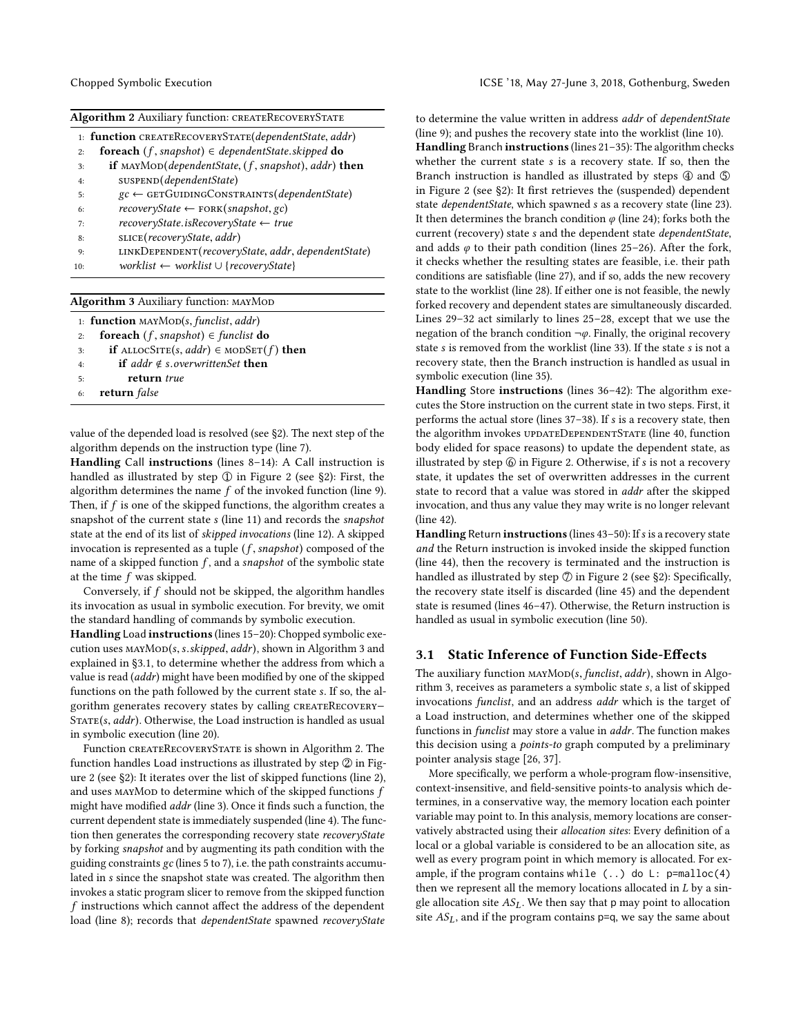<span id="page-4-0"></span>

|  | Algorithm 2 Auxiliary function: CREATERECOVERYSTATE |
|--|-----------------------------------------------------|
|  |                                                     |

|     | 1: <b>function</b> CREATERECOVERYSTATE( <i>dependentState, addr</i> )                       |
|-----|---------------------------------------------------------------------------------------------|
| 2:  | <b>foreach</b> $(f$ , snapshot) $\in$ dependentState.skipped <b>do</b>                      |
| 3:  | <b>if</b> MAYMOD( <i>dependentState,</i> $(f, \text{snapshot})$ <i>, addr</i> ) <b>then</b> |
| 4:  | SUSPEND(dependentState)                                                                     |
| 5:  | $gc \leftarrow$ GETGUIDINGCONSTRAINTS( <i>dependentState</i> )                              |
| 6:  | $recoveryState \leftarrow FORK(snapshot, gc)$                                               |
| 7:  | $recoveryState.isRecoveryState \leftarrow true$                                             |
| 8:  | SLICE(recoveryState, addr)                                                                  |
| 9:  | LINKDEPENDENT(recoveryState, addr, dependentState)                                          |
| 10: | $worklist \leftarrow worklist \cup \{recoveryState\}$                                       |
|     |                                                                                             |
|     | <b>Algorithm 3 Auxiliary function: MAYMOD</b>                                               |

<span id="page-4-1"></span>

|    | 1: <b>function</b> $\text{MANMOD}(s, \text{fundist}, \text{addr})$ |
|----|--------------------------------------------------------------------|
| 2: | foreach $(f, \text{snapshot}) \in \text{funclist}$ do              |
| 3: | <b>if</b> ALLOCSITE(s, addr) $\in$ MODSET(f) <b>then</b>           |
| 4: | <b>if</b> addr $\notin$ s.overwrittenSet <b>then</b>               |
| 5: | return true                                                        |
| 6: | return false                                                       |
|    |                                                                    |
|    |                                                                    |

value of the depended load is resolved (see [§2\)](#page-1-7). The next step of the algorithm depends on the instruction type (line [7\)](#page-3-9).

Handling Call instructions (lines [8](#page-3-10)[–14\)](#page-3-11): A Call instruction is handled as illustrated by step  $\mathbb D$  in Figure [2](#page-2-0) (see [§2\)](#page-1-7): First, the algorithm determines the name  $f$  of the invoked function (line [9\)](#page-3-12). Then, if  $f$  is one of the skipped functions, the algorithm creates a snapshot of the current state s (line [11\)](#page-3-13) and records the snapshot state at the end of its list of skipped invocations (line [12\)](#page-3-14). A skipped invocation is represented as a tuple  $(f, \text{snapshot})$  composed of the name of a skipped function  $f$ , and a *snapshot* of the symbolic state at the time f was skipped.

Conversely, if f should not be skipped, the algorithm handles its invocation as usual in symbolic execution. For brevity, we omit the standard handling of commands by symbolic execution.

Handling Load instructions (lines [15](#page-3-15)[–20\)](#page-3-16): Chopped symbolic execution uses  $\text{MANMOD}(s, s.skipped, addr)$ , shown in Algorithm [3](#page-4-1) and explained in [§3.1,](#page-4-2) to determine whether the address from which a value is read (addr) might have been modified by one of the skipped functions on the path followed by the current state s. If so, the algorithm generates recovery states by calling CREATERECOVERY- $STATE(s, addr)$ . Otherwise, the Load instruction is handled as usual in symbolic execution (line [20\)](#page-3-16).

Function createRecoveryState is shown in Algorithm [2.](#page-4-0) The function handles Load instructions as illustrated by step  $\mathcal Q$  in Figure [2](#page-2-0) (see [§2\)](#page-1-7): It iterates over the list of skipped functions (line [2\)](#page-3-17), and uses mayMon to determine which of the skipped functions  $f$ might have modified addr (line [3\)](#page-3-6). Once it finds such a function, the current dependent state is immediately suspended (line [4\)](#page-3-7). The function then generates the corresponding recovery state recoveryState by forking snapshot and by augmenting its path condition with the guiding constraints gc (lines [5](#page-3-8) to [7\)](#page-3-9), i.e. the path constraints accumulated in s since the snapshot state was created. The algorithm then invokes a static program slicer to remove from the skipped function  $f$  instructions which cannot affect the address of the dependent load (line [8\)](#page-3-10); records that dependentState spawned recoveryState

to determine the value written in address addr of dependentState (line [9\)](#page-3-12); and pushes the recovery state into the worklist (line [10\)](#page-3-18).

Handling Branch instructions (lines [21–](#page-3-19)[35\)](#page-3-20): The algorithm checks whether the current state s is a recovery state. If so, then the Branch instruction is handled as illustrated by steps  $\Phi$  and  $\Phi$ in Figure [2](#page-2-0) (see [§2\)](#page-1-7): It first retrieves the (suspended) dependent state dependentState, which spawned s as a recovery state (line [23\)](#page-3-21). It then determines the branch condition  $\varphi$  (line [24\)](#page-3-22); forks both the current (recovery) state s and the dependent state dependentState, and adds  $\varphi$  to their path condition (lines [25](#page-3-23)[–26\)](#page-3-24). After the fork, it checks whether the resulting states are feasible, i.e. their path conditions are satisfiable (line [27\)](#page-3-25), and if so, adds the new recovery state to the worklist (line [28\)](#page-3-26). If either one is not feasible, the newly forked recovery and dependent states are simultaneously discarded. Lines [29](#page-3-27)[–32](#page-3-28) act similarly to lines [25](#page-3-23)[–28,](#page-3-26) except that we use the negation of the branch condition  $\neg \varphi$ . Finally, the original recovery state s is removed from the worklist (line [33\)](#page-3-29). If the state s is not a recovery state, then the Branch instruction is handled as usual in symbolic execution (line [35\)](#page-3-20).

Handling Store instructions (lines [36–](#page-3-30)[42\)](#page-3-31): The algorithm executes the Store instruction on the current state in two steps. First, it performs the actual store (lines [37](#page-3-32)[–38\)](#page-3-33). If s is a recovery state, then the algorithm invokes updateDependentState (line [40,](#page-3-34) function body elided for space reasons) to update the dependent state, as illustrated by step  $\circledS$  in Figure [2.](#page-2-0) Otherwise, if s is not a recovery state, it updates the set of overwritten addresses in the current state to record that a value was stored in addr after the skipped invocation, and thus any value they may write is no longer relevant (line [42\)](#page-3-31).

Handling Return instructions (lines 43-[50\)](#page-3-36): If s is a recovery state and the Return instruction is invoked inside the skipped function (line [44\)](#page-3-37), then the recovery is terminated and the instruction is handled as illustrated by step  $\oslash$  in Figure [2](#page-2-0) (see [§2\)](#page-1-7): Specifically, the recovery state itself is discarded (line [45\)](#page-3-38) and the dependent state is resumed (lines [46](#page-3-39)[–47\)](#page-3-40). Otherwise, the Return instruction is handled as usual in symbolic execution (line [50\)](#page-3-36).

# <span id="page-4-2"></span>3.1 Static Inference of Function Side-Effects

The auxiliary function  $MMDD(s, *function, addr*)$ , shown in Algorithm [3,](#page-4-1) receives as parameters a symbolic state s, a list of skipped invocations funclist, and an address addr which is the target of a Load instruction, and determines whether one of the skipped functions in funclist may store a value in addr. The function makes this decision using a *points-to* graph computed by a preliminary pointer analysis stage [\[26,](#page-10-24) [37\]](#page-10-25).

More specifically, we perform a whole-program flow-insensitive, context-insensitive, and field-sensitive points-to analysis which determines, in a conservative way, the memory location each pointer variable may point to. In this analysis, memory locations are conservatively abstracted using their allocation sites: Every definition of a local or a global variable is considered to be an allocation site, as well as every program point in which memory is allocated. For example, if the program contains while  $(.)$  do  $L:$  p=malloc $(4)$ then we represent all the memory locations allocated in  $L$  by a single allocation site  $AS<sub>L</sub>$ . We then say that p may point to allocation site  $AS<sub>L</sub>$ , and if the program contains p=q, we say the same about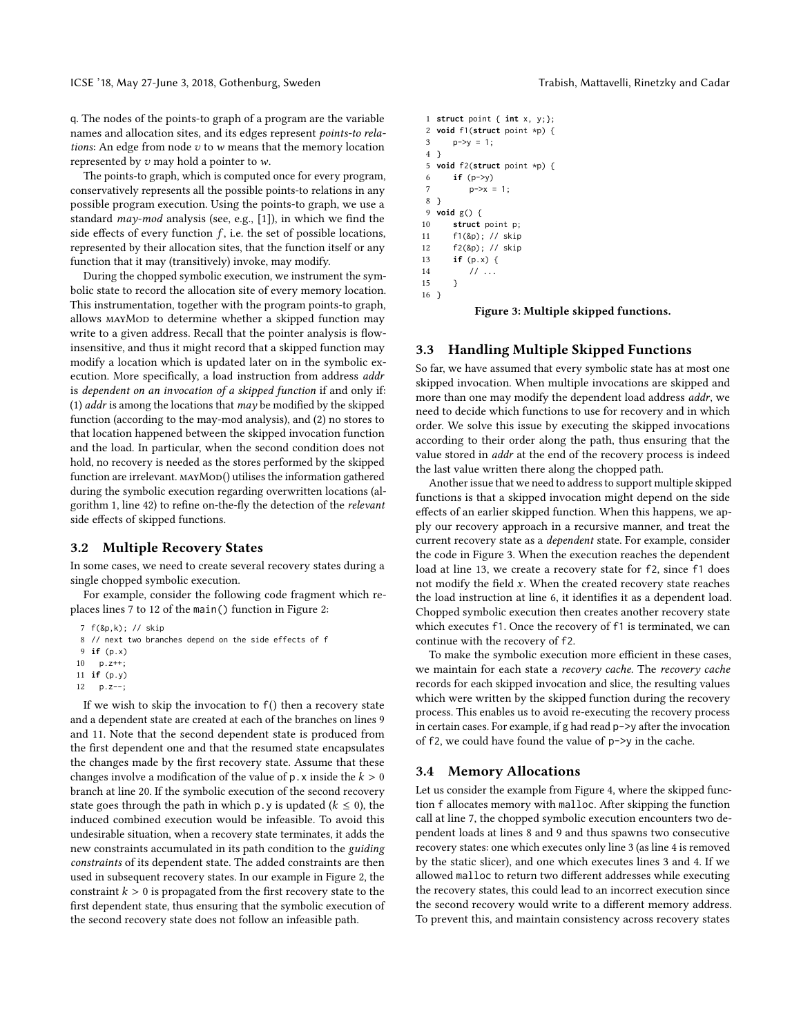q. The nodes of the points-to graph of a program are the variable names and allocation sites, and its edges represent points-to relations: An edge from node  $v$  to  $w$  means that the memory location represented by  $v$  may hold a pointer to  $w$ .

The points-to graph, which is computed once for every program, conservatively represents all the possible points-to relations in any possible program execution. Using the points-to graph, we use a standard may-mod analysis (see, e.g., [\[1\]](#page-10-31)), in which we find the side effects of every function  $f$ , i.e. the set of possible locations, represented by their allocation sites, that the function itself or any function that it may (transitively) invoke, may modify.

During the chopped symbolic execution, we instrument the symbolic state to record the allocation site of every memory location. This instrumentation, together with the program points-to graph, allows MAYMOD to determine whether a skipped function may write to a given address. Recall that the pointer analysis is flowinsensitive, and thus it might record that a skipped function may modify a location which is updated later on in the symbolic execution. More specifically, a load instruction from address addr is dependent on an invocation of a skipped function if and only if: (1)  $addr$  is among the locations that  $may$  be modified by the skipped function (according to the may-mod analysis), and (2) no stores to that location happened between the skipped invocation function and the load. In particular, when the second condition does not hold, no recovery is needed as the stores performed by the skipped function are irrelevant. MAYMOD() utilises the information gathered during the symbolic execution regarding overwritten locations (algorithm [1,](#page-3-1) line [42\)](#page-3-31) to refine on-the-fly the detection of the relevant side effects of skipped functions.

# 3.2 Multiple Recovery States

In some cases, we need to create several recovery states during a single chopped symbolic execution.

For example, consider the following code fragment which replaces lines [7](#page-2-3) to [12](#page-2-15) of the main() function in Figure [2:](#page-2-0)

```
7 f(&p,k); // skip
8 // next two branches depend on the side effects of f
9 if (p.x)
10 p.z++;
11 if (p.y)
```

```
12 p.z--;
```
If we wish to skip the invocation to f() then a recovery state and a dependent state are created at each of the branches on lines [9](#page-5-2) and [11.](#page-5-3) Note that the second dependent state is produced from the first dependent one and that the resumed state encapsulates the changes made by the first recovery state. Assume that these changes involve a modification of the value of  $p \cdot x$  inside the  $k > 0$ branch at line [20.](#page-2-6) If the symbolic execution of the second recovery state goes through the path in which p. y is updated ( $k \le 0$ ), the induced combined execution would be infeasible. To avoid this undesirable situation, when a recovery state terminates, it adds the new constraints accumulated in its path condition to the guiding constraints of its dependent state. The added constraints are then used in subsequent recovery states. In our example in Figure [2,](#page-2-0) the constraint  $k > 0$  is propagated from the first recovery state to the first dependent state, thus ensuring that the symbolic execution of the second recovery state does not follow an infeasible path.

```
1 struct point { int x, y;};
2 void f1(struct point *p) {
3 p->v = 1;
4 }
5 void f2(struct point *p) {
6 if (p->y)
7 p->x = 1;
8 }
9 void g() {
10 struct point p;
11 f1(&p); // skip
12 f2(&p); // skip
13 if (p.x) {
14 // ...
15 }
16 \quad \text{)}
```
Figure 3: Multiple skipped functions.

# <span id="page-5-0"></span>3.3 Handling Multiple Skipped Functions

So far, we have assumed that every symbolic state has at most one skipped invocation. When multiple invocations are skipped and more than one may modify the dependent load address addr, we need to decide which functions to use for recovery and in which order. We solve this issue by executing the skipped invocations according to their order along the path, thus ensuring that the value stored in *addr* at the end of the recovery process is indeed the last value written there along the chopped path.

Another issue that we need to address to support multiple skipped functions is that a skipped invocation might depend on the side effects of an earlier skipped function. When this happens, we apply our recovery approach in a recursive manner, and treat the current recovery state as a dependent state. For example, consider the code in Figure [3.](#page-5-4) When the execution reaches the dependent load at line 13, we create a recovery state for f2, since f1 does not modify the field  $x$ . When the created recovery state reaches the load instruction at line 6, it identifies it as a dependent load. Chopped symbolic execution then creates another recovery state which executes f1. Once the recovery of f1 is terminated, we can continue with the recovery of f2.

To make the symbolic execution more efficient in these cases, we maintain for each state a recovery cache. The recovery cache records for each skipped invocation and slice, the resulting values which were written by the skipped function during the recovery process. This enables us to avoid re-executing the recovery process in certain cases. For example, if g had read p->y after the invocation of f2, we could have found the value of p->y in the cache.

### <span id="page-5-1"></span>3.4 Memory Allocations

Let us consider the example from Figure [4,](#page-6-2) where the skipped function f allocates memory with malloc. After skipping the function call at line [7,](#page-6-3) the chopped symbolic execution encounters two dependent loads at lines [8](#page-6-4) and [9](#page-6-5) and thus spawns two consecutive recovery states: one which executes only line [3](#page-6-6) (as line [4](#page-6-7) is removed by the static slicer), and one which executes lines [3](#page-6-6) and [4.](#page-6-7) If we allowed malloc to return two different addresses while executing the recovery states, this could lead to an incorrect execution since the second recovery would write to a different memory address. To prevent this, and maintain consistency across recovery states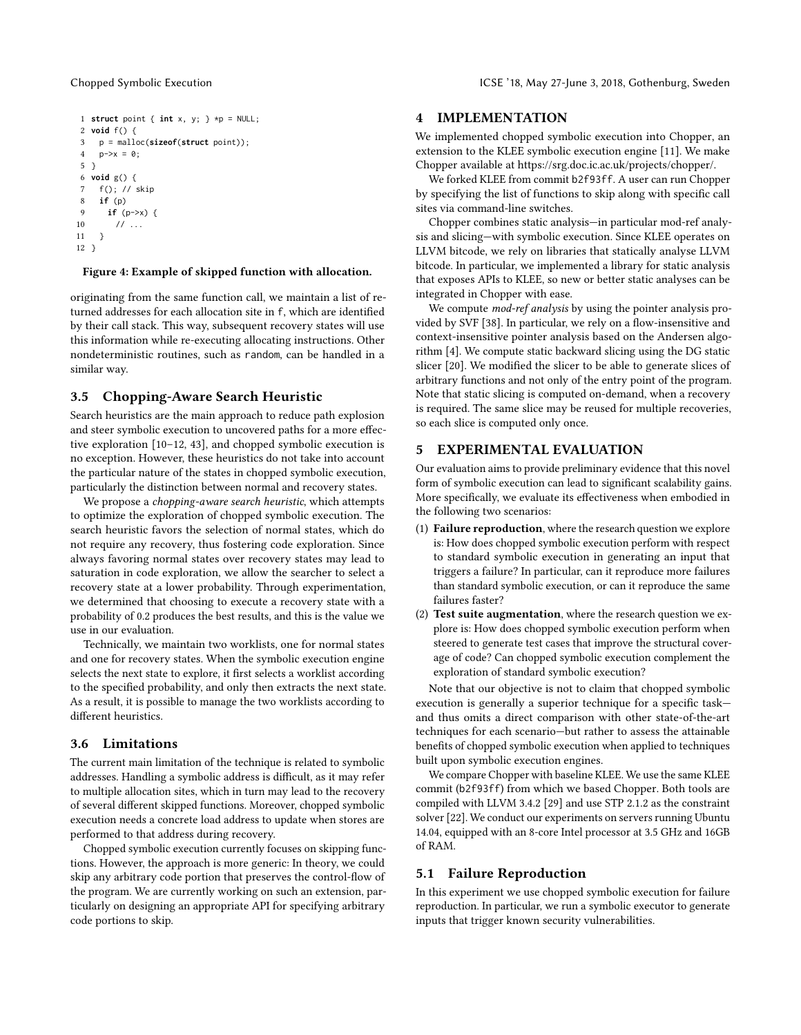```
1 struct point { int x, y; } *p = NULL;
2 void f() {
3 p = malloc(sizeof(struct point));
4   p \rightarrow x = 0;5 }
6 void g() {
7 f(); // skip
8 if (p)
9 if (p->x) {
10 // ...11 }
12 }
```
### <span id="page-6-5"></span><span id="page-6-4"></span>Figure 4: Example of skipped function with allocation.

originating from the same function call, we maintain a list of returned addresses for each allocation site in f, which are identified by their call stack. This way, subsequent recovery states will use this information while re-executing allocating instructions. Other nondeterministic routines, such as random, can be handled in a similar way.

# 3.5 Chopping-Aware Search Heuristic

Search heuristics are the main approach to reduce path explosion and steer symbolic execution to uncovered paths for a more effective exploration [\[10–](#page-10-21)[12,](#page-10-8) [43\]](#page-10-22), and chopped symbolic execution is no exception. However, these heuristics do not take into account the particular nature of the states in chopped symbolic execution, particularly the distinction between normal and recovery states.

We propose a chopping-aware search heuristic, which attempts to optimize the exploration of chopped symbolic execution. The search heuristic favors the selection of normal states, which do not require any recovery, thus fostering code exploration. Since always favoring normal states over recovery states may lead to saturation in code exploration, we allow the searcher to select a recovery state at a lower probability. Through experimentation, we determined that choosing to execute a recovery state with a probability of 0.2 produces the best results, and this is the value we use in our evaluation.

Technically, we maintain two worklists, one for normal states and one for recovery states. When the symbolic execution engine selects the next state to explore, it first selects a worklist according to the specified probability, and only then extracts the next state. As a result, it is possible to manage the two worklists according to different heuristics.

#### 3.6 Limitations

The current main limitation of the technique is related to symbolic addresses. Handling a symbolic address is difficult, as it may refer to multiple allocation sites, which in turn may lead to the recovery of several different skipped functions. Moreover, chopped symbolic execution needs a concrete load address to update when stores are performed to that address during recovery.

Chopped symbolic execution currently focuses on skipping functions. However, the approach is more generic: In theory, we could skip any arbitrary code portion that preserves the control-flow of the program. We are currently working on such an extension, particularly on designing an appropriate API for specifying arbitrary code portions to skip.

# <span id="page-6-0"></span>4 IMPLEMENTATION

We implemented chopped symbolic execution into Chopper, an extension to the KLEE symbolic execution engine [\[11\]](#page-10-2). We make Chopper available at [https://srg.doc.ic.ac.uk/projects/chopper/.](https://srg.doc.ic.ac.uk/projects/chopper/)

We forked KLEE from commit b2f93ff. A user can run Chopper by specifying the list of functions to skip along with specific call sites via command-line switches.

Chopper combines static analysis—in particular mod-ref analysis and slicing—with symbolic execution. Since KLEE operates on LLVM bitcode, we rely on libraries that statically analyse LLVM bitcode. In particular, we implemented a library for static analysis that exposes APIs to KLEE, so new or better static analyses can be integrated in Chopper with ease.

We compute *mod-ref analysis* by using the pointer analysis provided by SVF [\[38\]](#page-10-32). In particular, we rely on a flow-insensitive and context-insensitive pointer analysis based on the Andersen algorithm [\[4\]](#page-10-23). We compute static backward slicing using the DG static slicer [\[20\]](#page-10-33). We modified the slicer to be able to generate slices of arbitrary functions and not only of the entry point of the program. Note that static slicing is computed on-demand, when a recovery is required. The same slice may be reused for multiple recoveries, so each slice is computed only once.

# <span id="page-6-1"></span>5 EXPERIMENTAL EVALUATION

Our evaluation aims to provide preliminary evidence that this novel form of symbolic execution can lead to significant scalability gains. More specifically, we evaluate its effectiveness when embodied in the following two scenarios:

- (1) Failure reproduction, where the research question we explore is: How does chopped symbolic execution perform with respect to standard symbolic execution in generating an input that triggers a failure? In particular, can it reproduce more failures than standard symbolic execution, or can it reproduce the same failures faster?
- (2) Test suite augmentation, where the research question we explore is: How does chopped symbolic execution perform when steered to generate test cases that improve the structural coverage of code? Can chopped symbolic execution complement the exploration of standard symbolic execution?

Note that our objective is not to claim that chopped symbolic execution is generally a superior technique for a specific task and thus omits a direct comparison with other state-of-the-art techniques for each scenario—but rather to assess the attainable benefits of chopped symbolic execution when applied to techniques built upon symbolic execution engines.

We compare Chopper with baseline KLEE. We use the same KLEE commit (b2f93ff) from which we based Chopper. Both tools are compiled with LLVM 3.4.2 [\[29\]](#page-10-30) and use STP 2.1.2 as the constraint solver [\[22\]](#page-10-34). We conduct our experiments on servers running Ubuntu 14.04, equipped with an 8-core Intel processor at 3.5 GHz and 16GB of RAM.

# 5.1 Failure Reproduction

In this experiment we use chopped symbolic execution for failure reproduction. In particular, we run a symbolic executor to generate inputs that trigger known security vulnerabilities.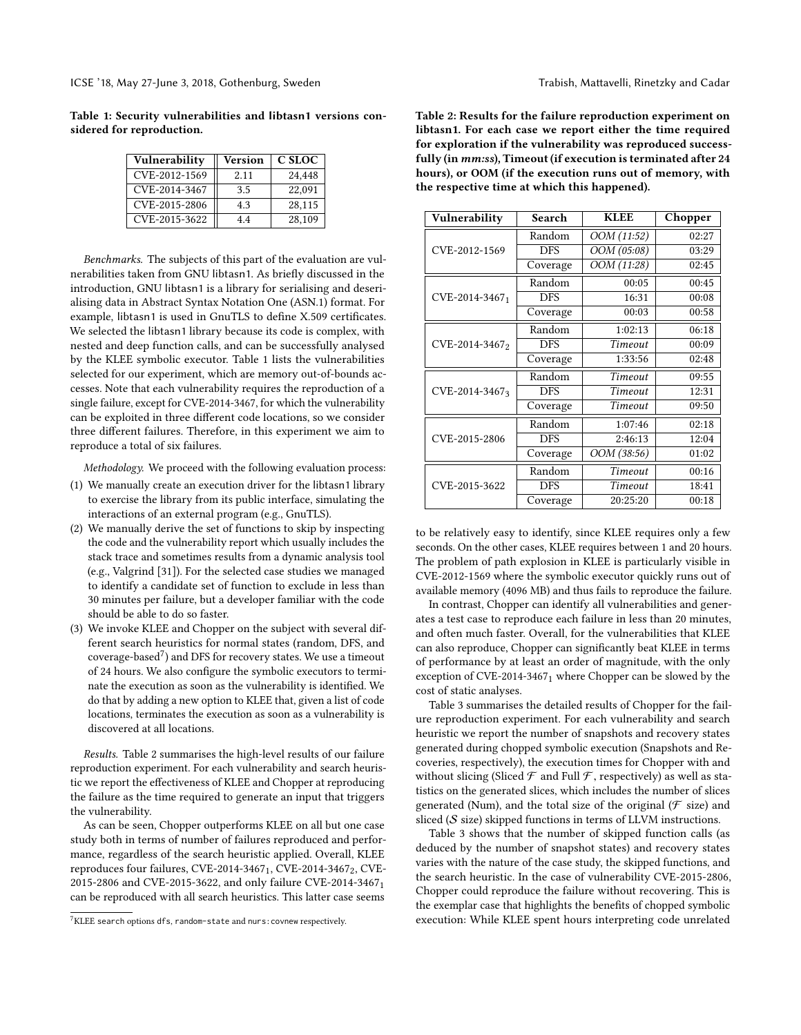<span id="page-7-0"></span>Table 1: Security vulnerabilities and libtasn1 versions considered for reproduction.

| Vulnerability | Version | C SLOC |
|---------------|---------|--------|
| CVE-2012-1569 | 2.11    | 24.448 |
| CVE-2014-3467 | 3.5     | 22,091 |
| CVE-2015-2806 | 4.3     | 28,115 |
| CVE-2015-3622 | 4.4     | 28,109 |

Benchmarks. The subjects of this part of the evaluation are vulnerabilities taken from GNU libtasn1. As briefly discussed in the introduction, GNU libtasn1 is a library for serialising and deserialising data in Abstract Syntax Notation One (ASN.1) format. For example, libtasn1 is used in GnuTLS to define X.509 certificates. We selected the libtasn1 library because its code is complex, with nested and deep function calls, and can be successfully analysed by the KLEE symbolic executor. Table [1](#page-7-0) lists the vulnerabilities selected for our experiment, which are memory out-of-bounds accesses. Note that each vulnerability requires the reproduction of a single failure, except for CVE-2014-3467, for which the vulnerability can be exploited in three different code locations, so we consider three different failures. Therefore, in this experiment we aim to reproduce a total of six failures.

Methodology. We proceed with the following evaluation process:

- (1) We manually create an execution driver for the libtasn1 library to exercise the library from its public interface, simulating the interactions of an external program (e.g., GnuTLS).
- (2) We manually derive the set of functions to skip by inspecting the code and the vulnerability report which usually includes the stack trace and sometimes results from a dynamic analysis tool (e.g., Valgrind [\[31\]](#page-10-35)). For the selected case studies we managed to identify a candidate set of function to exclude in less than 30 minutes per failure, but a developer familiar with the code should be able to do so faster.
- (3) We invoke KLEE and Chopper on the subject with several different search heuristics for normal states (random, DFS, and coverage-based[7](#page-7-1) ) and DFS for recovery states. We use a timeout of 24 hours. We also configure the symbolic executors to terminate the execution as soon as the vulnerability is identified. We do that by adding a new option to KLEE that, given a list of code locations, terminates the execution as soon as a vulnerability is discovered at all locations.

Results. Table [2](#page-7-2) summarises the high-level results of our failure reproduction experiment. For each vulnerability and search heuristic we report the effectiveness of KLEE and Chopper at reproducing the failure as the time required to generate an input that triggers the vulnerability.

As can be seen, Chopper outperforms KLEE on all but one case study both in terms of number of failures reproduced and performance, regardless of the search heuristic applied. Overall, KLEE reproduces four failures, CVE-2014-3467<sub>1</sub>, CVE-2014-3467<sub>2</sub>, CVE-2015-2806 and CVE-2015-3622, and only failure CVE-2014-3467<sup>1</sup> can be reproduced with all search heuristics. This latter case seems

<span id="page-7-2"></span>Table 2: Results for the failure reproduction experiment on libtasn1. For each case we report either the time required for exploration if the vulnerability was reproduced successfully (in mm:ss), Timeout (if execution is terminated after 24 hours), or OOM (if the execution runs out of memory, with the respective time at which this happened).

| Vulnerability  | Search     | <b>KLEE</b>              | Chopper |  |
|----------------|------------|--------------------------|---------|--|
|                | Random     | OOM (11:52)              | 02:27   |  |
| CVE-2012-1569  | <b>DFS</b> | $\overline{OOM}$ (05:08) | 03:29   |  |
|                | Coverage   | OOM (11:28)              | 02:45   |  |
|                | Random     | 00:05                    | 00:45   |  |
| CVE-2014-34671 | <b>DFS</b> | 16:31                    | 00:08   |  |
|                | Coverage   | 00:03                    | 00:58   |  |
|                | Random     | 1:02:13                  | 06:18   |  |
| CVE-2014-34672 | <b>DFS</b> | Timeout                  | 00:09   |  |
|                | Coverage   | 1:33:56                  | 02:48   |  |
|                | Random     | Timeout                  | 09:55   |  |
| CVE-2014-34673 | <b>DFS</b> | Timeout                  | 12:31   |  |
|                | Coverage   | Timeout                  | 09:50   |  |
|                | Random     | 1:07:46                  | 02:18   |  |
| CVE-2015-2806  | <b>DFS</b> | 2:46:13                  | 12:04   |  |
|                | Coverage   | OOM (38:56)              | 01:02   |  |
|                | Random     | Timeout                  | 00:16   |  |
| CVE-2015-3622  | <b>DFS</b> | Timeout                  | 18:41   |  |
|                | Coverage   | 20:25:20                 | 00:18   |  |

to be relatively easy to identify, since KLEE requires only a few seconds. On the other cases, KLEE requires between 1 and 20 hours. The problem of path explosion in KLEE is particularly visible in CVE-2012-1569 where the symbolic executor quickly runs out of available memory (4096 MB) and thus fails to reproduce the failure.

In contrast, Chopper can identify all vulnerabilities and generates a test case to reproduce each failure in less than 20 minutes, and often much faster. Overall, for the vulnerabilities that KLEE can also reproduce, Chopper can significantly beat KLEE in terms of performance by at least an order of magnitude, with the only exception of CVE-2014-34671 where Chopper can be slowed by the cost of static analyses.

Table [3](#page-8-0) summarises the detailed results of Chopper for the failure reproduction experiment. For each vulnerability and search heuristic we report the number of snapshots and recovery states generated during chopped symbolic execution (Snapshots and Recoveries, respectively), the execution times for Chopper with and without slicing (Sliced  $\mathcal F$  and Full  $\mathcal F$ , respectively) as well as statistics on the generated slices, which includes the number of slices generated (Num), and the total size of the original ( $\mathcal F$  size) and sliced  $(S \text{ size})$  skipped functions in terms of LLVM instructions.

Table [3](#page-8-0) shows that the number of skipped function calls (as deduced by the number of snapshot states) and recovery states varies with the nature of the case study, the skipped functions, and the search heuristic. In the case of vulnerability CVE-2015-2806, Chopper could reproduce the failure without recovering. This is the exemplar case that highlights the benefits of chopped symbolic execution: While KLEE spent hours interpreting code unrelated

<span id="page-7-1"></span><sup>7</sup>KLEE search options dfs, random-state and nurs:covnew respectively.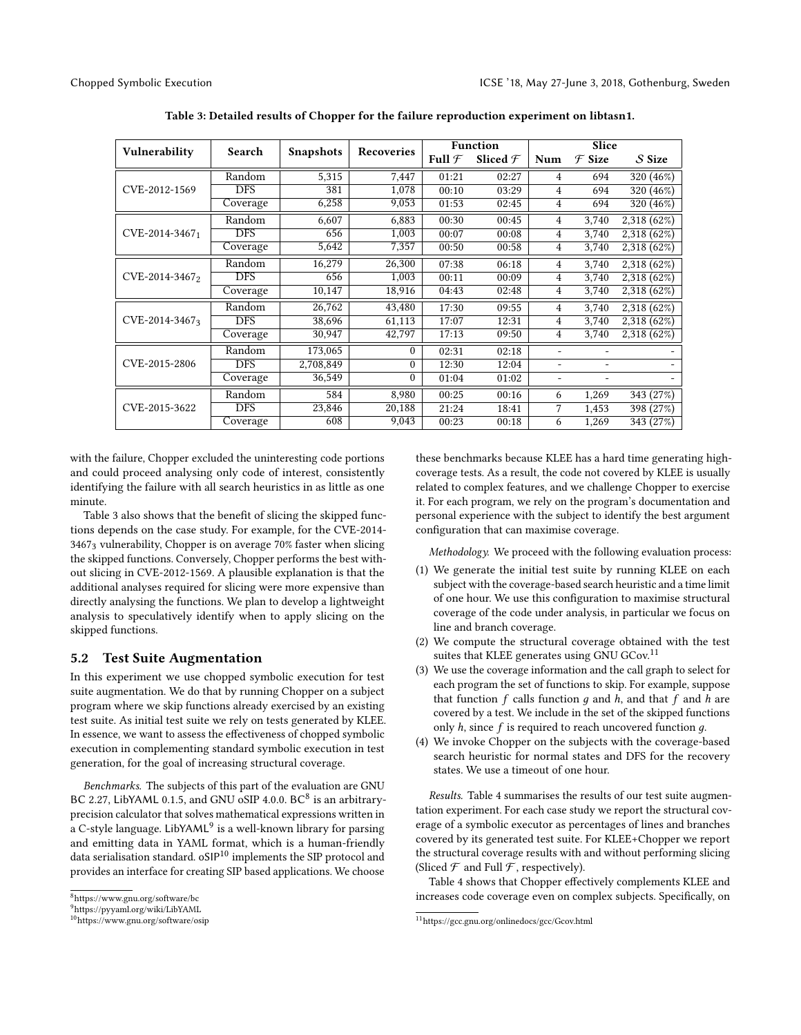<span id="page-8-0"></span>

| Vulnerability    | Search     | <b>Snapshots</b> | <b>Recoveries</b> | <b>Function</b>   |                     | Slice          |                   |             |
|------------------|------------|------------------|-------------------|-------------------|---------------------|----------------|-------------------|-------------|
|                  |            |                  |                   | Full $\mathcal F$ | Sliced $\mathcal F$ | Num            | $\mathcal F$ Size | $S$ Size    |
|                  | Random     | 5,315            | 7,447             | 01:21             | 02:27               | $\overline{4}$ | 694               | 320 (46%)   |
| CVE-2012-1569    | <b>DFS</b> | 381              | 1,078             | 00:10             | 03:29               | 4              | 694               | 320 (46%)   |
|                  | Coverage   | 6,258            | 9,053             | 01:53             | 02:45               | 4              | 694               | 320 (46%)   |
|                  | Random     | 6,607            | 6,883             | 00:30             | 00:45               | 4              | 3,740             | 2,318 (62%) |
| $CVE-2014-34671$ | <b>DFS</b> | 656              | 1,003             | 00:07             | 00:08               | 4              | 3,740             | 2,318 (62%) |
|                  | Coverage   | 5,642            | 7,357             | 00:50             | 00:58               | 4              | 3,740             | 2,318 (62%) |
|                  | Random     | 16,279           | 26,300            | 07:38             | 06:18               | 4              | 3.740             | 2,318 (62%) |
| CVE-2014-34672   | <b>DFS</b> | 656              | 1.003             | 00:11             | 00:09               | 4              | 3.740             | 2,318 (62%) |
|                  | Coverage   | 10,147           | 18,916            | 04:43             | 02:48               | 4              | 3,740             | 2,318 (62%) |
|                  | Random     | 26,762           | 43,480            | 17:30             | 09:55               | 4              | 3,740             | 2,318 (62%) |
| CVE-2014-34673   | <b>DFS</b> | 38,696           | 61,113            | 17:07             | 12:31               | 4              | 3,740             | 2,318 (62%) |
|                  | Coverage   | 30,947           | 42,797            | 17:13             | 09:50               | 4              | 3,740             | 2,318 (62%) |
|                  | Random     | 173,065          | $\Omega$          | 02:31             | 02:18               | ۰              |                   |             |
| CVE-2015-2806    | <b>DFS</b> | 2,708,849        | $\theta$          | 12:30             | 12:04               | ٠              | ۰                 |             |
|                  | Coverage   | 36,549           | $\theta$          | 01:04             | 01:02               |                |                   |             |
|                  | Random     | 584              | 8,980             | 00:25             | 00:16               | 6              | 1,269             | 343 (27%)   |
| CVE-2015-3622    | <b>DFS</b> | 23,846           | 20,188            | 21:24             | 18:41               | 7              | 1,453             | 398 (27%)   |
|                  | Coverage   | 608              | 9.043             | 00:23             | 00:18               | 6              | 1,269             | 343 (27%)   |

Table 3: Detailed results of Chopper for the failure reproduction experiment on libtasn1.

with the failure, Chopper excluded the uninteresting code portions and could proceed analysing only code of interest, consistently identifying the failure with all search heuristics in as little as one minute.

Table [3](#page-8-0) also shows that the benefit of slicing the skipped functions depends on the case study. For example, for the CVE-2014- 34673 vulnerability, Chopper is on average 70% faster when slicing the skipped functions. Conversely, Chopper performs the best without slicing in CVE-2012-1569. A plausible explanation is that the additional analyses required for slicing were more expensive than directly analysing the functions. We plan to develop a lightweight analysis to speculatively identify when to apply slicing on the skipped functions.

# 5.2 Test Suite Augmentation

In this experiment we use chopped symbolic execution for test suite augmentation. We do that by running Chopper on a subject program where we skip functions already exercised by an existing test suite. As initial test suite we rely on tests generated by KLEE. In essence, we want to assess the effectiveness of chopped symbolic execution in complementing standard symbolic execution in test generation, for the goal of increasing structural coverage.

Benchmarks. The subjects of this part of the evaluation are GNU BC 2.27, LibYAML 0.1.5, and GNU  $\overrightarrow{OSIP}$  4.0.0. BC<sup>[8](#page-8-1)</sup> is an arbitraryprecision calculator that solves mathematical expressions written in .<br>a C-style language. LibYAML<sup>[9](#page-8-2)</sup> is a well-known library for parsing and emitting data in YAML format, which is a human-friendly data serialisation standard. oSIP<sup>[10](#page-8-3)</sup> implements the SIP protocol and provides an interface for creating SIP based applications. We choose

these benchmarks because KLEE has a hard time generating highcoverage tests. As a result, the code not covered by KLEE is usually related to complex features, and we challenge Chopper to exercise it. For each program, we rely on the program's documentation and personal experience with the subject to identify the best argument configuration that can maximise coverage.

Methodology. We proceed with the following evaluation process:

- (1) We generate the initial test suite by running KLEE on each subject with the coverage-based search heuristic and a time limit of one hour. We use this configuration to maximise structural coverage of the code under analysis, in particular we focus on line and branch coverage.
- (2) We compute the structural coverage obtained with the test suites that KLEE generates using GNU GCov.<sup>[11](#page-8-4)</sup>
- (3) We use the coverage information and the call graph to select for each program the set of functions to skip. For example, suppose that function  $f$  calls function  $q$  and  $h$ , and that  $f$  and  $h$  are covered by a test. We include in the set of the skipped functions only  $h$ , since  $f$  is required to reach uncovered function  $g$ .
- (4) We invoke Chopper on the subjects with the coverage-based search heuristic for normal states and DFS for the recovery states. We use a timeout of one hour.

Results. Table [4](#page-9-2) summarises the results of our test suite augmentation experiment. For each case study we report the structural coverage of a symbolic executor as percentages of lines and branches covered by its generated test suite. For KLEE+Chopper we report the structural coverage results with and without performing slicing (Sliced  $\mathcal F$  and Full  $\mathcal F$ , respectively).

Table [4](#page-9-2) shows that Chopper effectively complements KLEE and increases code coverage even on complex subjects. Specifically, on

<span id="page-8-1"></span> $^8\rm{https://www.gnu.org/software/bc}$  $^8\rm{https://www.gnu.org/software/bc}$  $^8\rm{https://www.gnu.org/software/bc}$ 

<span id="page-8-2"></span><sup>9</sup><https://pyyaml.org/wiki/LibYAML>

<span id="page-8-3"></span><sup>10</sup><https://www.gnu.org/software/osip>

<span id="page-8-4"></span> $\overline{^{11}{\rm \bf https://gcc.gnu.org/onlinedocs/gcc/Gcov.html}}$  $\overline{^{11}{\rm \bf https://gcc.gnu.org/onlinedocs/gcc/Gcov.html}}$  $\overline{^{11}{\rm \bf https://gcc.gnu.org/onlinedocs/gcc/Gcov.html}}$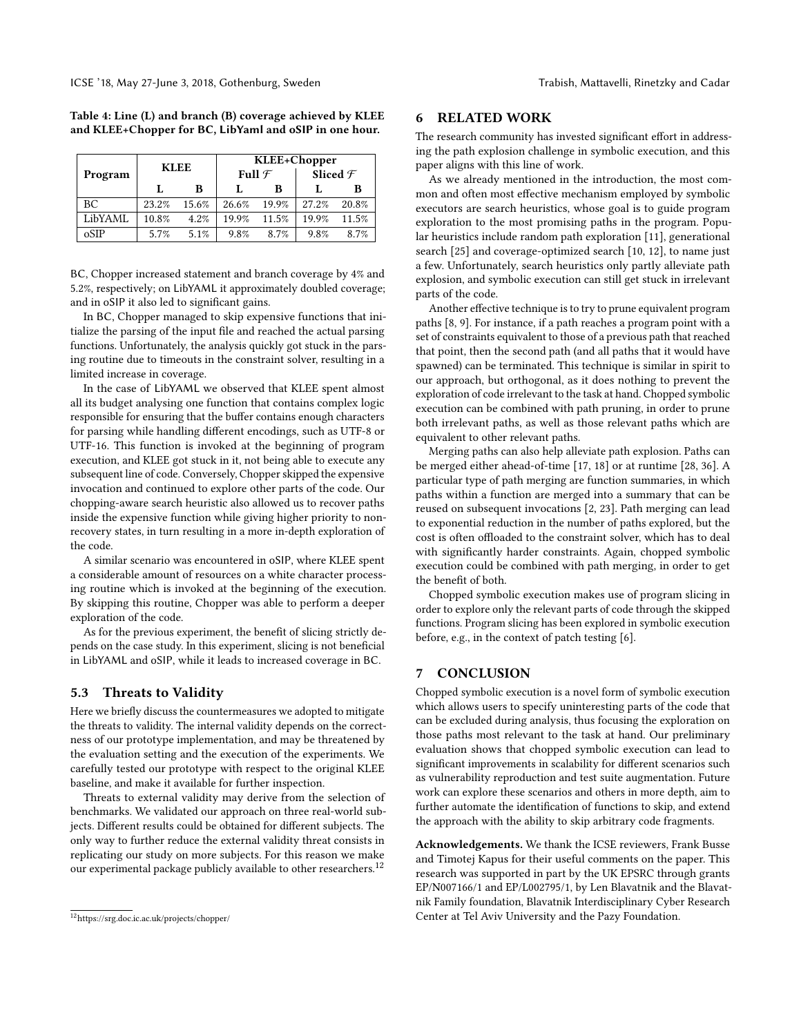<span id="page-9-2"></span>Table 4: Line (L) and branch (B) coverage achieved by KLEE and KLEE+Chopper for BC, LibYaml and oSIP in one hour.

|         | <b>KLEE</b> |       | KLEE+Chopper      |       |                     |       |  |
|---------|-------------|-------|-------------------|-------|---------------------|-------|--|
| Program |             |       | Full $\mathcal F$ |       | Sliced $\mathcal F$ |       |  |
|         |             | B     |                   | в     |                     | в     |  |
| ВC      | 23.2%       | 15.6% | 26.6%             | 19.9% | $27.2\%$            | 20.8% |  |
| LibYAML | 10.8%       | 4.2%  | 19.9%             | 11.5% | 19.9%               | 11.5% |  |
| oSIP    | 5.7%        | 5.1%  | 9.8%              | 8.7%  | 9.8%                | 8.7%  |  |

BC, Chopper increased statement and branch coverage by 4% and 5.2%, respectively; on LibYAML it approximately doubled coverage; and in oSIP it also led to significant gains.

In BC, Chopper managed to skip expensive functions that initialize the parsing of the input file and reached the actual parsing functions. Unfortunately, the analysis quickly got stuck in the parsing routine due to timeouts in the constraint solver, resulting in a limited increase in coverage.

In the case of LibYAML we observed that KLEE spent almost all its budget analysing one function that contains complex logic responsible for ensuring that the buffer contains enough characters for parsing while handling different encodings, such as UTF-8 or UTF-16. This function is invoked at the beginning of program execution, and KLEE got stuck in it, not being able to execute any subsequent line of code. Conversely, Chopper skipped the expensive invocation and continued to explore other parts of the code. Our chopping-aware search heuristic also allowed us to recover paths inside the expensive function while giving higher priority to nonrecovery states, in turn resulting in a more in-depth exploration of the code.

A similar scenario was encountered in oSIP, where KLEE spent a considerable amount of resources on a white character processing routine which is invoked at the beginning of the execution. By skipping this routine, Chopper was able to perform a deeper exploration of the code.

As for the previous experiment, the benefit of slicing strictly depends on the case study. In this experiment, slicing is not beneficial in LibYAML and oSIP, while it leads to increased coverage in BC.

# 5.3 Threats to Validity

Here we briefly discuss the countermeasures we adopted to mitigate the threats to validity. The internal validity depends on the correctness of our prototype implementation, and may be threatened by the evaluation setting and the execution of the experiments. We carefully tested our prototype with respect to the original KLEE baseline, and make it available for further inspection.

Threats to external validity may derive from the selection of benchmarks. We validated our approach on three real-world subjects. Different results could be obtained for different subjects. The only way to further reduce the external validity threat consists in replicating our study on more subjects. For this reason we make our experimental package publicly available to other researchers.<sup>[12](#page-9-3)</sup>

# <span id="page-9-0"></span>6 RELATED WORK

The research community has invested significant effort in addressing the path explosion challenge in symbolic execution, and this paper aligns with this line of work.

As we already mentioned in the introduction, the most common and often most effective mechanism employed by symbolic executors are search heuristics, whose goal is to guide program exploration to the most promising paths in the program. Popular heuristics include random path exploration [\[11\]](#page-10-2), generational search [\[25\]](#page-10-9) and coverage-optimized search [\[10,](#page-10-21) [12\]](#page-10-8), to name just a few. Unfortunately, search heuristics only partly alleviate path explosion, and symbolic execution can still get stuck in irrelevant parts of the code.

Another effective technique is to try to prune equivalent program paths [\[8,](#page-10-36) [9\]](#page-10-37). For instance, if a path reaches a program point with a set of constraints equivalent to those of a previous path that reached that point, then the second path (and all paths that it would have spawned) can be terminated. This technique is similar in spirit to our approach, but orthogonal, as it does nothing to prevent the exploration of code irrelevant to the task at hand. Chopped symbolic execution can be combined with path pruning, in order to prune both irrelevant paths, as well as those relevant paths which are equivalent to other relevant paths.

Merging paths can also help alleviate path explosion. Paths can be merged either ahead-of-time [\[17,](#page-10-38) [18\]](#page-10-39) or at runtime [\[28,](#page-10-40) [36\]](#page-10-41). A particular type of path merging are function summaries, in which paths within a function are merged into a summary that can be reused on subsequent invocations [\[2,](#page-10-42) [23\]](#page-10-43). Path merging can lead to exponential reduction in the number of paths explored, but the cost is often offloaded to the constraint solver, which has to deal with significantly harder constraints. Again, chopped symbolic execution could be combined with path merging, in order to get the benefit of both.

Chopped symbolic execution makes use of program slicing in order to explore only the relevant parts of code through the skipped functions. Program slicing has been explored in symbolic execution before, e.g., in the context of patch testing [\[6\]](#page-10-44).

# <span id="page-9-1"></span>7 CONCLUSION

Chopped symbolic execution is a novel form of symbolic execution which allows users to specify uninteresting parts of the code that can be excluded during analysis, thus focusing the exploration on those paths most relevant to the task at hand. Our preliminary evaluation shows that chopped symbolic execution can lead to significant improvements in scalability for different scenarios such as vulnerability reproduction and test suite augmentation. Future work can explore these scenarios and others in more depth, aim to further automate the identification of functions to skip, and extend the approach with the ability to skip arbitrary code fragments.

Acknowledgements. We thank the ICSE reviewers, Frank Busse and Timotej Kapus for their useful comments on the paper. This research was supported in part by the UK EPSRC through grants EP/N007166/1 and EP/L002795/1, by Len Blavatnik and the Blavatnik Family foundation, Blavatnik Interdisciplinary Cyber Research Center at Tel Aviv University and the Pazy Foundation.

<span id="page-9-3"></span><sup>12</sup><https://srg.doc.ic.ac.uk/projects/chopper/>